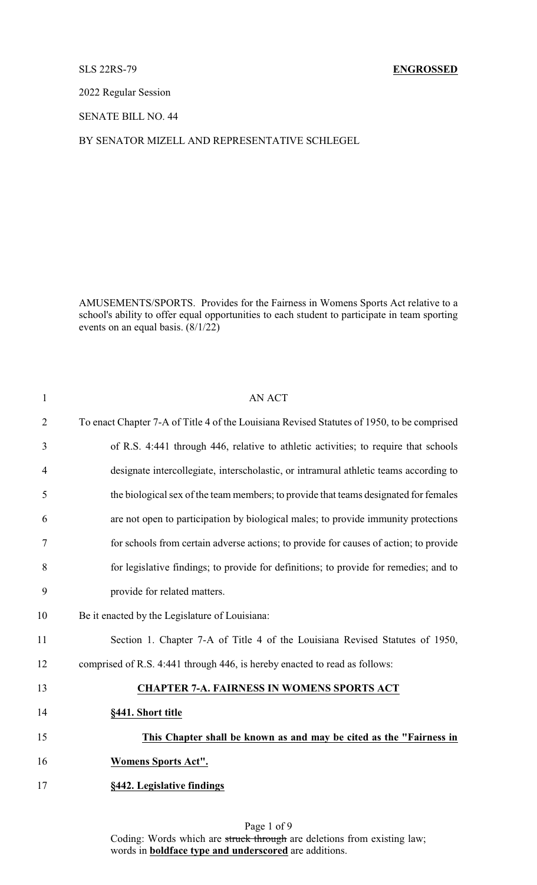SLS 22RS-79 **ENGROSSED**

2022 Regular Session

SENATE BILL NO. 44

BY SENATOR MIZELL AND REPRESENTATIVE SCHLEGEL

AMUSEMENTS/SPORTS. Provides for the Fairness in Womens Sports Act relative to a school's ability to offer equal opportunities to each student to participate in team sporting events on an equal basis. (8/1/22)

| $\mathbf{1}$   | <b>AN ACT</b>                                                                              |
|----------------|--------------------------------------------------------------------------------------------|
| $\overline{2}$ | To enact Chapter 7-A of Title 4 of the Louisiana Revised Statutes of 1950, to be comprised |
| 3              | of R.S. 4:441 through 446, relative to athletic activities; to require that schools        |
| $\overline{4}$ | designate intercollegiate, interscholastic, or intramural athletic teams according to      |
| 5              | the biological sex of the team members; to provide that teams designated for females       |
| 6              | are not open to participation by biological males; to provide immunity protections         |
| 7              | for schools from certain adverse actions; to provide for causes of action; to provide      |
| 8              | for legislative findings; to provide for definitions; to provide for remedies; and to      |
| 9              | provide for related matters.                                                               |
| 10             | Be it enacted by the Legislature of Louisiana:                                             |
| 11             | Section 1. Chapter 7-A of Title 4 of the Louisiana Revised Statutes of 1950,               |
| 12             | comprised of R.S. 4:441 through 446, is hereby enacted to read as follows:                 |
| 13             | <b>CHAPTER 7-A. FAIRNESS IN WOMENS SPORTS ACT</b>                                          |
| 14             | §441. Short title                                                                          |
| 15             | This Chapter shall be known as and may be cited as the "Fairness in                        |
| 16             | <b>Womens Sports Act".</b>                                                                 |
| 17             | §442. Legislative findings                                                                 |

Page 1 of 9 Coding: Words which are struck through are deletions from existing law; words in **boldface type and underscored** are additions.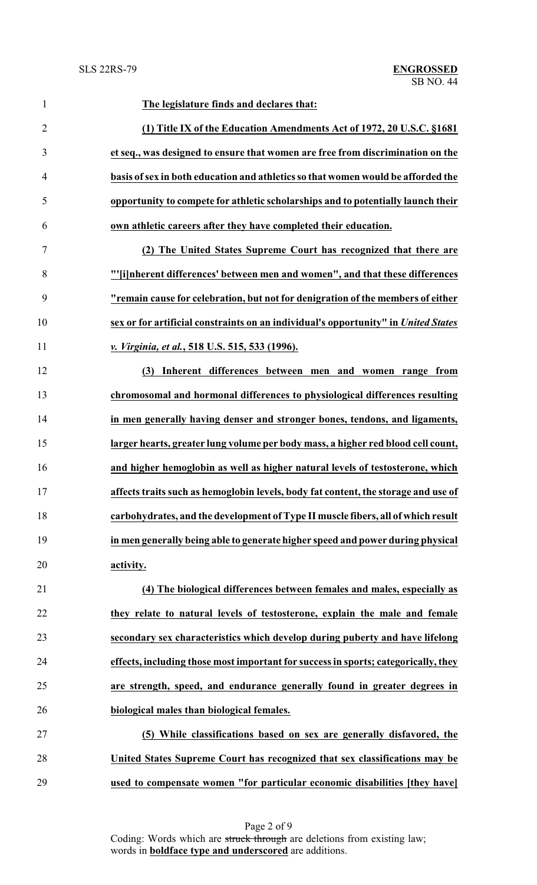| 1              | The legislature finds and declares that:                                           |
|----------------|------------------------------------------------------------------------------------|
| $\overline{2}$ | (1) Title IX of the Education Amendments Act of 1972, 20 U.S.C. §1681              |
| 3              | et seq., was designed to ensure that women are free from discrimination on the     |
| $\overline{4}$ | basis of sex in both education and athletics so that women would be afforded the   |
| 5              | opportunity to compete for athletic scholarships and to potentially launch their   |
| 6              | own athletic careers after they have completed their education.                    |
| $\tau$         | (2) The United States Supreme Court has recognized that there are                  |
| 8              | "'[i]nherent differences' between men and women", and that these differences       |
| 9              | "remain cause for celebration, but not for denigration of the members of either    |
| 10             | sex or for artificial constraints on an individual's opportunity" in United States |
| 11             | v. Virginia, et al., 518 U.S. 515, 533 (1996).                                     |
| 12             | Inherent differences between men and women range from<br>(3)                       |
| 13             | chromosomal and hormonal differences to physiological differences resulting        |
| 14             | in men generally having denser and stronger bones, tendons, and ligaments,         |
| 15             | larger hearts, greater lung volume per body mass, a higher red blood cell count,   |
| 16             | and higher hemoglobin as well as higher natural levels of testosterone, which      |
| 17             | affects traits such as hemoglobin levels, body fat content, the storage and use of |
| 18             | carbohydrates, and the development of Type II muscle fibers, all of which result   |
| 19             | in men generally being able to generate higher speed and power during physical     |
| 20             | activity.                                                                          |
| 21             | (4) The biological differences between females and males, especially as            |
| 22             | they relate to natural levels of testosterone, explain the male and female         |
| 23             | secondary sex characteristics which develop during puberty and have lifelong       |
| 24             | effects, including those most important for success in sports; categorically, they |
| 25             | are strength, speed, and endurance generally found in greater degrees in           |
| 26             | biological males than biological females.                                          |
| 27             | (5) While classifications based on sex are generally disfavored, the               |
| 28             | United States Supreme Court has recognized that sex classifications may be         |
| 29             | used to compensate women "for particular economic disabilities [they have]         |

Page 2 of 9 Coding: Words which are struck through are deletions from existing law; words in **boldface type and underscored** are additions.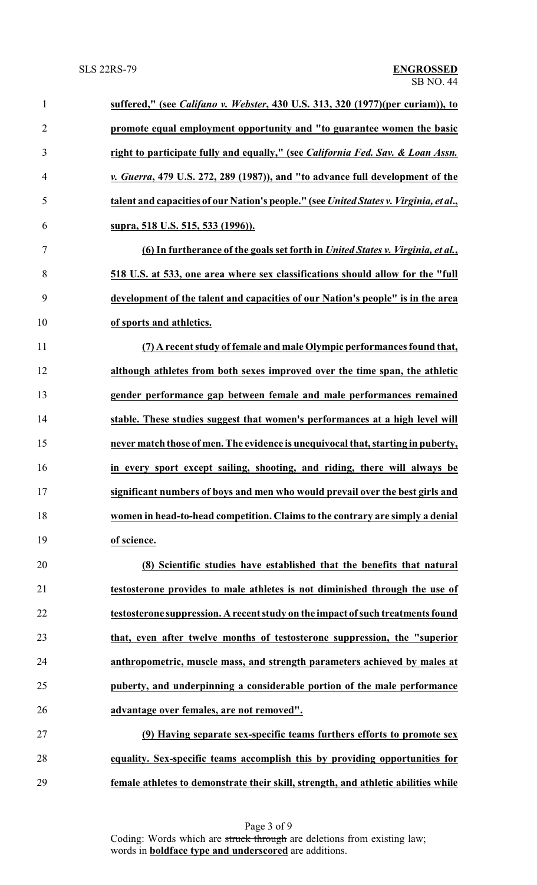| $\mathbf{1}$   | suffered," (see Califano v. Webster, 430 U.S. 313, 320 (1977)(per curiam)), to             |
|----------------|--------------------------------------------------------------------------------------------|
| $\overline{2}$ | promote equal employment opportunity and "to guarantee women the basic                     |
| 3              | right to participate fully and equally," (see <i>California Fed. Sav. &amp; Loan Assn.</i> |
| $\overline{4}$ | v. Guerra, 479 U.S. 272, 289 (1987)), and "to advance full development of the              |
| 5              | talent and capacities of our Nation's people." (see United States v. Virginia, et al.,     |
| 6              | supra, 518 U.S. 515, 533 (1996)).                                                          |
| $\overline{7}$ | (6) In furtherance of the goals set forth in United States v. Virginia, et al.,            |
| $8\,$          | 518 U.S. at 533, one area where sex classifications should allow for the "full             |
| 9              | development of the talent and capacities of our Nation's people" is in the area            |
| 10             | of sports and athletics.                                                                   |
| 11             | (7) A recent study of female and male Olympic performances found that,                     |
| 12             | although athletes from both sexes improved over the time span, the athletic                |
| 13             | gender performance gap between female and male performances remained                       |
| 14             | stable. These studies suggest that women's performances at a high level will               |
| 15             | never match those of men. The evidence is unequivocal that, starting in puberty,           |
| 16             | in every sport except sailing, shooting, and riding, there will always be                  |
| 17             | significant numbers of boys and men who would prevail over the best girls and              |
| 18             | women in head-to-head competition. Claims to the contrary are simply a denial              |
| 19             | of science.                                                                                |
| 20             | (8) Scientific studies have established that the benefits that natural                     |
| 21             | testosterone provides to male athletes is not diminished through the use of                |
| 22             | testosterone suppression. A recent study on the impact of such treatments found            |
| 23             | that, even after twelve months of testosterone suppression, the "superior                  |
| 24             | anthropometric, muscle mass, and strength parameters achieved by males at                  |
| 25             | puberty, and underpinning a considerable portion of the male performance                   |
| 26             | advantage over females, are not removed".                                                  |
| 27             | (9) Having separate sex-specific teams furthers efforts to promote sex                     |
| 28             | equality. Sex-specific teams accomplish this by providing opportunities for                |
| 29             | female athletes to demonstrate their skill, strength, and athletic abilities while         |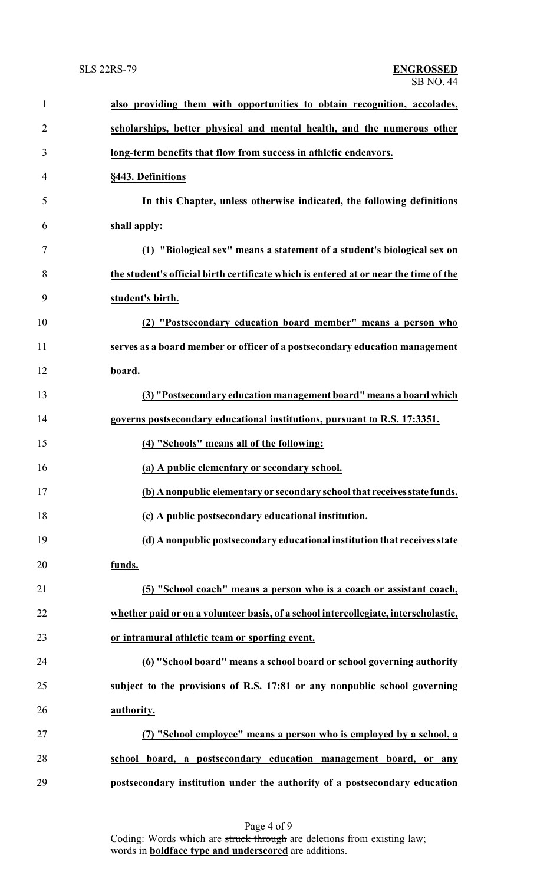| $\mathbf{1}$   | also providing them with opportunities to obtain recognition, accolades,             |
|----------------|--------------------------------------------------------------------------------------|
| $\overline{2}$ | scholarships, better physical and mental health, and the numerous other              |
| 3              | long-term benefits that flow from success in athletic endeavors.                     |
| 4              | §443. Definitions                                                                    |
| 5              | In this Chapter, unless otherwise indicated, the following definitions               |
| 6              | shall apply:                                                                         |
| 7              | (1) "Biological sex" means a statement of a student's biological sex on              |
| 8              | the student's official birth certificate which is entered at or near the time of the |
| 9              | student's birth.                                                                     |
| 10             | (2) "Postsecondary education board member" means a person who                        |
| 11             | serves as a board member or officer of a postsecondary education management          |
| 12             | board.                                                                               |
| 13             | (3) "Postsecondary education management board" means a board which                   |
| 14             | governs postsecondary educational institutions, pursuant to R.S. 17:3351.            |
| 15             | (4) "Schools" means all of the following:                                            |
| 16             | (a) A public elementary or secondary school.                                         |
| 17             | (b) A nonpublic elementary or secondary school that receives state funds.            |
| 18             | (c) A public postsecondary educational institution.                                  |
| 19             | (d) A nonpublic postsecondary educational institution that receives state            |
| 20             | funds.                                                                               |
| 21             | (5) "School coach" means a person who is a coach or assistant coach,                 |
| 22             | whether paid or on a volunteer basis, of a school intercollegiate, interscholastic,  |
| 23             | or intramural athletic team or sporting event.                                       |
| 24             | (6) "School board" means a school board or school governing authority                |
| 25             | subject to the provisions of R.S. 17:81 or any nonpublic school governing            |
| 26             | authority.                                                                           |
| 27             | (7) "School employee" means a person who is employed by a school, a                  |
| 28             | school board, a postsecondary education management board, or any                     |
| 29             | postsecondary institution under the authority of a postsecondary education           |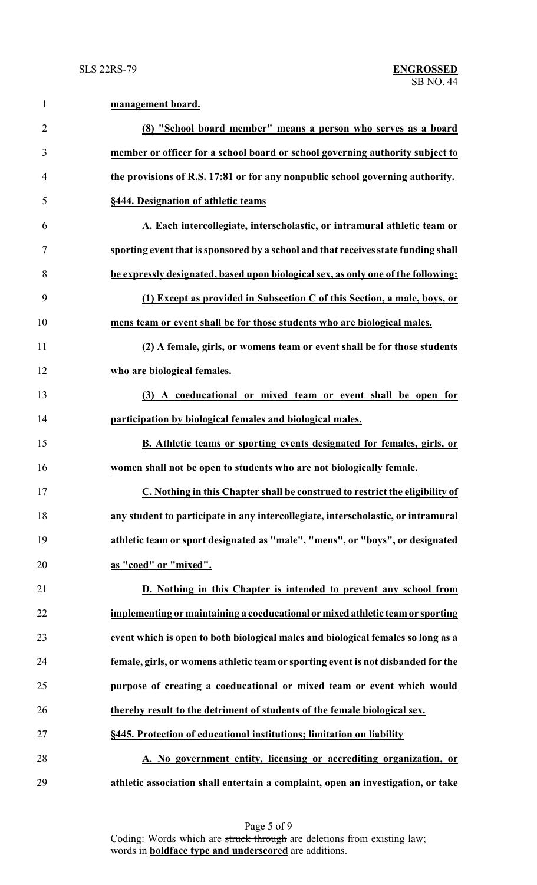| $\mathbf{1}$   | management board.                                                                  |
|----------------|------------------------------------------------------------------------------------|
| $\overline{2}$ | (8) "School board member" means a person who serves as a board                     |
| 3              | member or officer for a school board or school governing authority subject to      |
| $\overline{4}$ | the provisions of R.S. 17:81 or for any nonpublic school governing authority.      |
| 5              | §444. Designation of athletic teams                                                |
| 6              | A. Each intercollegiate, interscholastic, or intramural athletic team or           |
| 7              | sporting event that is sponsored by a school and that receives state funding shall |
| 8              | be expressly designated, based upon biological sex, as only one of the following:  |
| 9              | (1) Except as provided in Subsection C of this Section, a male, boys, or           |
| 10             | mens team or event shall be for those students who are biological males.           |
| 11             | (2) A female, girls, or womens team or event shall be for those students           |
| 12             | who are biological females.                                                        |
| 13             | (3) A coeducational or mixed team or event shall be open for                       |
| 14             | participation by biological females and biological males.                          |
| 15             | B. Athletic teams or sporting events designated for females, girls, or             |
| 16             | women shall not be open to students who are not biologically female.               |
| 17             | C. Nothing in this Chapter shall be construed to restrict the eligibility of       |
| 18             | any student to participate in any intercollegiate, interscholastic, or intramural  |
| 19             | athletic team or sport designated as "male", "mens", or "boys", or designated      |
| 20             | as "coed" or "mixed".                                                              |
| 21             | D. Nothing in this Chapter is intended to prevent any school from                  |
| 22             | implementing or maintaining a coeducational or mixed athletic team or sporting     |
| 23             | event which is open to both biological males and biological females so long as a   |
| 24             | female, girls, or womens athletic team or sporting event is not disbanded for the  |
| 25             | purpose of creating a coeducational or mixed team or event which would             |
| 26             | thereby result to the detriment of students of the female biological sex.          |
| 27             | §445. Protection of educational institutions; limitation on liability              |
| 28             | A. No government entity, licensing or accrediting organization, or                 |
| 29             | athletic association shall entertain a complaint, open an investigation, or take   |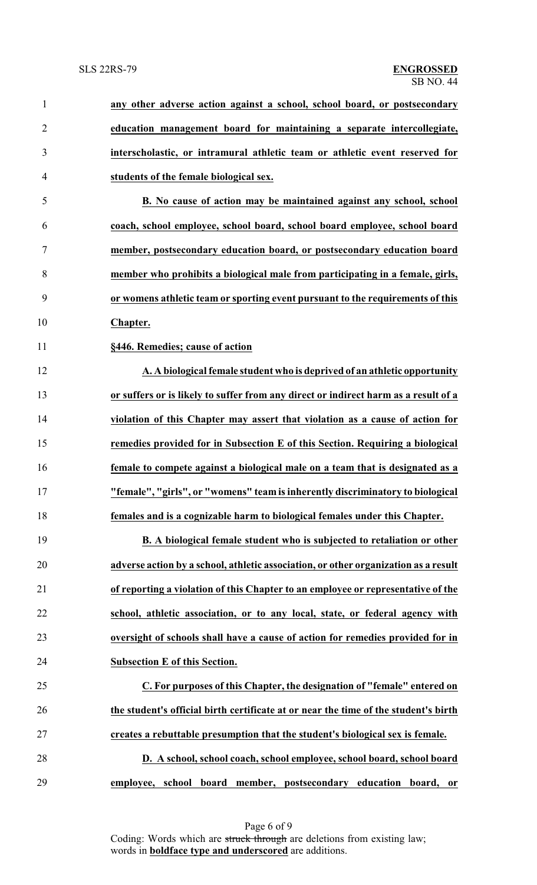| $\mathbf{1}$   | any other adverse action against a school, school board, or postsecondary           |
|----------------|-------------------------------------------------------------------------------------|
| $\overline{2}$ | education management board for maintaining a separate intercollegiate,              |
| $\mathfrak{Z}$ | interscholastic, or intramural athletic team or athletic event reserved for         |
| 4              | students of the female biological sex.                                              |
| 5              | B. No cause of action may be maintained against any school, school                  |
| 6              | coach, school employee, school board, school board employee, school board           |
| $\tau$         | member, postsecondary education board, or postsecondary education board             |
| 8              | member who prohibits a biological male from participating in a female, girls,       |
| 9              | or womens athletic team or sporting event pursuant to the requirements of this      |
| 10             | Chapter.                                                                            |
| 11             | §446. Remedies; cause of action                                                     |
| 12             | A. A biological female student who is deprived of an athletic opportunity           |
| 13             | or suffers or is likely to suffer from any direct or indirect harm as a result of a |
| 14             | violation of this Chapter may assert that violation as a cause of action for        |
| 15             | remedies provided for in Subsection E of this Section. Requiring a biological       |
| 16             | female to compete against a biological male on a team that is designated as a       |
| 17             | "female", "girls", or "womens" team is inherently discriminatory to biological      |
| 18             | females and is a cognizable harm to biological females under this Chapter.          |
| 19             | B. A biological female student who is subjected to retaliation or other             |
| 20             | adverse action by a school, athletic association, or other organization as a result |
| 21             | of reporting a violation of this Chapter to an employee or representative of the    |
| 22             | school, athletic association, or to any local, state, or federal agency with        |
| 23             | oversight of schools shall have a cause of action for remedies provided for in      |
| 24             | <b>Subsection E of this Section.</b>                                                |
| 25             | C. For purposes of this Chapter, the designation of "female" entered on             |
| 26             | the student's official birth certificate at or near the time of the student's birth |
| 27             | creates a rebuttable presumption that the student's biological sex is female.       |
| 28             | D. A school, school coach, school employee, school board, school board              |
| 29             | employee, school board member, postsecondary education board, or                    |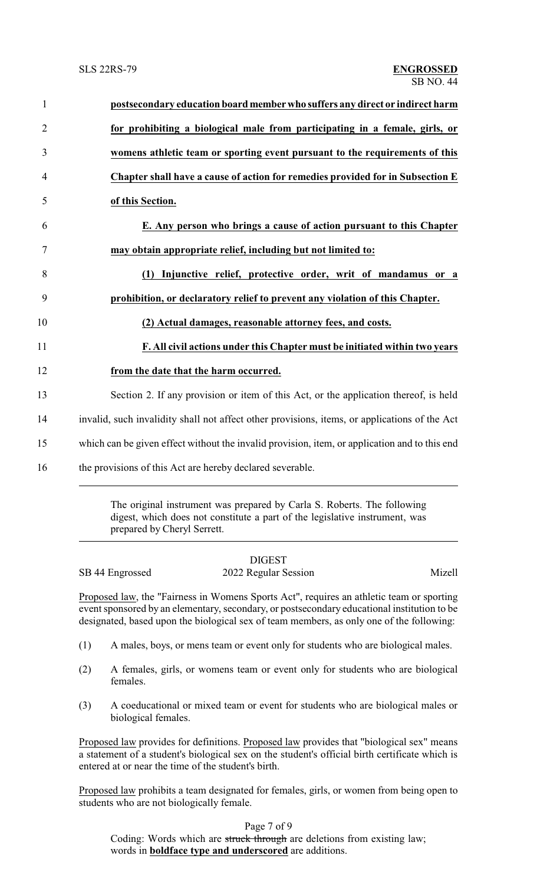| $\mathbf{1}$   | postsecondary education board member who suffers any direct or indirect harm                  |
|----------------|-----------------------------------------------------------------------------------------------|
| $\overline{2}$ | for prohibiting a biological male from participating in a female, girls, or                   |
| 3              | womens athletic team or sporting event pursuant to the requirements of this                   |
| $\overline{4}$ | Chapter shall have a cause of action for remedies provided for in Subsection E                |
| 5              | of this Section.                                                                              |
| 6              | E. Any person who brings a cause of action pursuant to this Chapter                           |
| $\tau$         | may obtain appropriate relief, including but not limited to:                                  |
| 8              | Injunctive relief, protective order, writ of mandamus or a<br>(1)                             |
| 9              | prohibition, or declaratory relief to prevent any violation of this Chapter.                  |
| 10             | (2) Actual damages, reasonable attorney fees, and costs.                                      |
| 11             | F. All civil actions under this Chapter must be initiated within two years                    |
| 12             | from the date that the harm occurred.                                                         |
| 13             | Section 2. If any provision or item of this Act, or the application thereof, is held          |
| 14             | invalid, such invalidity shall not affect other provisions, items, or applications of the Act |
| 15             | which can be given effect without the invalid provision, item, or application and to this end |
| 16             | the provisions of this Act are hereby declared severable.                                     |
|                |                                                                                               |

The original instrument was prepared by Carla S. Roberts. The following digest, which does not constitute a part of the legislative instrument, was prepared by Cheryl Serrett.

## DIGEST SB 44 Engrossed 2022 Regular Session Mizell

Proposed law, the "Fairness in Womens Sports Act", requires an athletic team or sporting event sponsored by an elementary, secondary, or postsecondary educational institution to be designated, based upon the biological sex of team members, as only one of the following:

- (1) A males, boys, or mens team or event only for students who are biological males.
- (2) A females, girls, or womens team or event only for students who are biological females.
- (3) A coeducational or mixed team or event for students who are biological males or biological females.

Proposed law provides for definitions. Proposed law provides that "biological sex" means a statement of a student's biological sex on the student's official birth certificate which is entered at or near the time of the student's birth.

Proposed law prohibits a team designated for females, girls, or women from being open to students who are not biologically female.

Page 7 of 9

Coding: Words which are struck through are deletions from existing law; words in **boldface type and underscored** are additions.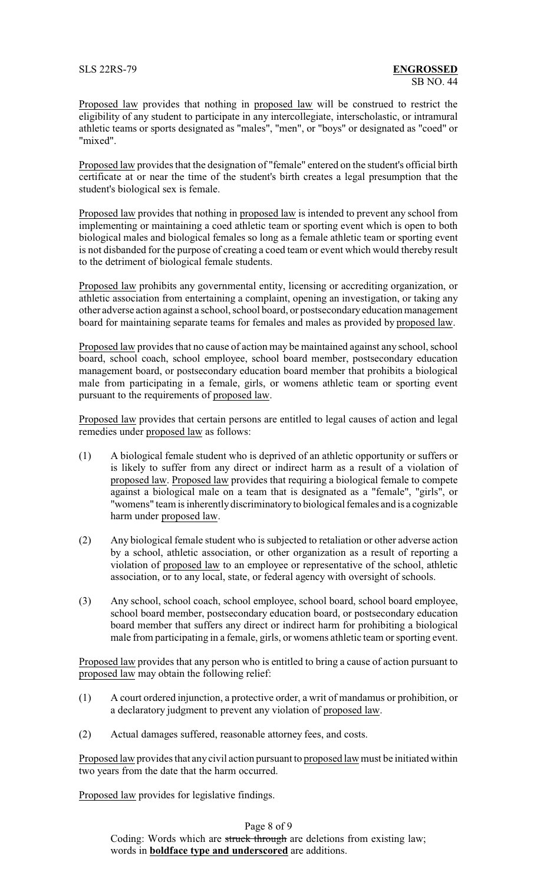Proposed law provides that nothing in proposed law will be construed to restrict the eligibility of any student to participate in any intercollegiate, interscholastic, or intramural athletic teams or sports designated as "males", "men", or "boys" or designated as "coed" or "mixed".

Proposed law provides that the designation of "female" entered on the student's official birth certificate at or near the time of the student's birth creates a legal presumption that the student's biological sex is female.

Proposed law provides that nothing in proposed law is intended to prevent any school from implementing or maintaining a coed athletic team or sporting event which is open to both biological males and biological females so long as a female athletic team or sporting event is not disbanded for the purpose of creating a coed team or event which would thereby result to the detriment of biological female students.

Proposed law prohibits any governmental entity, licensing or accrediting organization, or athletic association from entertaining a complaint, opening an investigation, or taking any other adverse action against a school, school board, or postsecondaryeducation management board for maintaining separate teams for females and males as provided by proposed law.

Proposed law provides that no cause of action may be maintained against any school, school board, school coach, school employee, school board member, postsecondary education management board, or postsecondary education board member that prohibits a biological male from participating in a female, girls, or womens athletic team or sporting event pursuant to the requirements of proposed law.

Proposed law provides that certain persons are entitled to legal causes of action and legal remedies under proposed law as follows:

- (1) A biological female student who is deprived of an athletic opportunity or suffers or is likely to suffer from any direct or indirect harm as a result of a violation of proposed law. Proposed law provides that requiring a biological female to compete against a biological male on a team that is designated as a "female", "girls", or "womens" team is inherently discriminatory to biological females and is a cognizable harm under proposed law.
- (2) Any biological female student who is subjected to retaliation or other adverse action by a school, athletic association, or other organization as a result of reporting a violation of proposed law to an employee or representative of the school, athletic association, or to any local, state, or federal agency with oversight of schools.
- (3) Any school, school coach, school employee, school board, school board employee, school board member, postsecondary education board, or postsecondary education board member that suffers any direct or indirect harm for prohibiting a biological male from participating in a female, girls, or womens athletic team or sporting event.

Proposed law provides that any person who is entitled to bring a cause of action pursuant to proposed law may obtain the following relief:

- (1) A court ordered injunction, a protective order, a writ of mandamus or prohibition, or a declaratory judgment to prevent any violation of proposed law.
- (2) Actual damages suffered, reasonable attorney fees, and costs.

Proposed law provides that anycivil action pursuant to proposed law must be initiated within two years from the date that the harm occurred.

Proposed law provides for legislative findings.

Page 8 of 9 Coding: Words which are struck through are deletions from existing law; words in **boldface type and underscored** are additions.